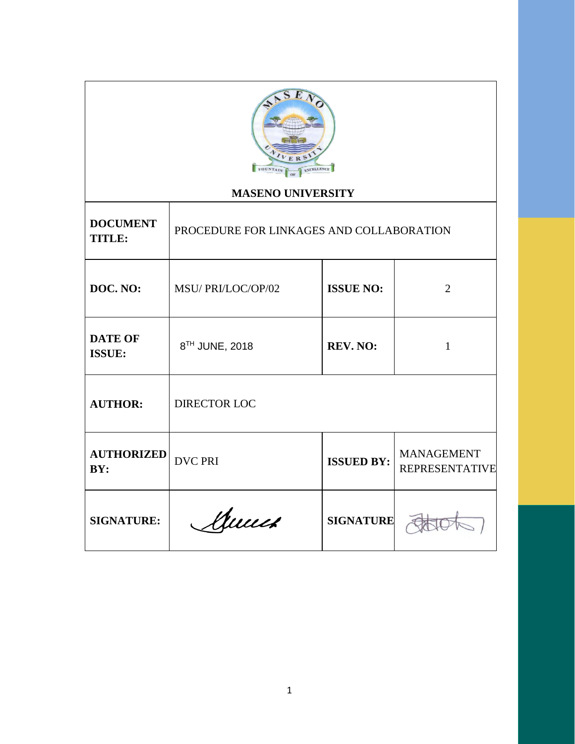

# **MASENO UNIVERSITY**

| <b>DOCUMENT</b><br><b>TITLE:</b> | PROCEDURE FOR LINKAGES AND COLLABORATION |                   |                                            |  |
|----------------------------------|------------------------------------------|-------------------|--------------------------------------------|--|
| DOC. NO:                         | MSU/PRI/LOC/OP/02                        | <b>ISSUE NO:</b>  | $\overline{2}$                             |  |
| <b>DATE OF</b><br><b>ISSUE:</b>  | 8TH JUNE, 2018                           | <b>REV. NO:</b>   | 1                                          |  |
| <b>AUTHOR:</b>                   | DIRECTOR LOC                             |                   |                                            |  |
| <b>AUTHORIZED</b><br>BY:         | <b>DVC PRI</b>                           | <b>ISSUED BY:</b> | <b>MANAGEMENT</b><br><b>REPRESENTATIVE</b> |  |
| <b>SIGNATURE:</b>                | Muuch                                    | <b>SIGNATURE</b>  |                                            |  |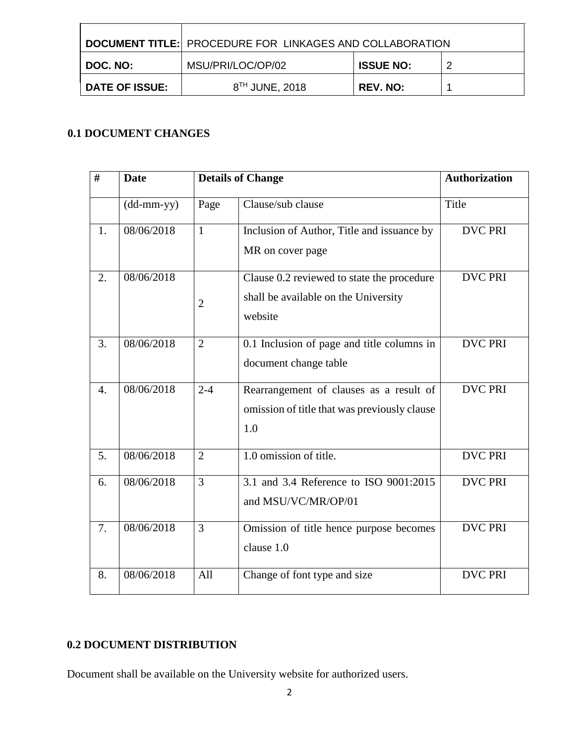|                | <b>DOCUMENT TITLE: PROCEDURE FOR LINKAGES AND COLLABORATION</b> |                  |   |
|----------------|-----------------------------------------------------------------|------------------|---|
| I DOC. NO: I   | MSU/PRI/LOC/OP/02                                               | <b>ISSUE NO:</b> | റ |
| DATE OF ISSUE: | 8 <sup>TH</sup> JUNE, 2018                                      | <b>REV. NO:</b>  |   |

# **0.1 DOCUMENT CHANGES**

| #                | <b>Date</b>                                       |                | <b>Details of Change</b>                                                                       | <b>Authorization</b> |
|------------------|---------------------------------------------------|----------------|------------------------------------------------------------------------------------------------|----------------------|
|                  | $(dd{\text{-}\!\!\,\text{mm-}}\text{\small{yy}})$ | Page           | Clause/sub clause                                                                              | Title                |
| 1.               | 08/06/2018                                        | $\mathbf{1}$   | Inclusion of Author, Title and issuance by<br>MR on cover page                                 | <b>DVC PRI</b>       |
| 2.               | 08/06/2018                                        | $\overline{2}$ | Clause 0.2 reviewed to state the procedure<br>shall be available on the University<br>website  | <b>DVC PRI</b>       |
| 3.               | 08/06/2018                                        | $\overline{2}$ | 0.1 Inclusion of page and title columns in<br>document change table                            | <b>DVC PRI</b>       |
| $\overline{4}$ . | 08/06/2018                                        | $2 - 4$        | Rearrangement of clauses as a result of<br>omission of title that was previously clause<br>1.0 | <b>DVC PRI</b>       |
| 5.               | 08/06/2018                                        | $\overline{2}$ | $\overline{1.0}$ omission of title.                                                            | <b>DVC PRI</b>       |
| 6.               | 08/06/2018                                        | 3              | 3.1 and 3.4 Reference to ISO 9001:2015<br>and MSU/VC/MR/OP/01                                  | <b>DVC PRI</b>       |
| 7.               | 08/06/2018                                        | 3              | Omission of title hence purpose becomes<br>clause 1.0                                          | <b>DVC PRI</b>       |
| 8.               | 08/06/2018                                        | All            | Change of font type and size                                                                   | <b>DVC PRI</b>       |

# **0.2 DOCUMENT DISTRIBUTION**

Document shall be available on the University website for authorized users.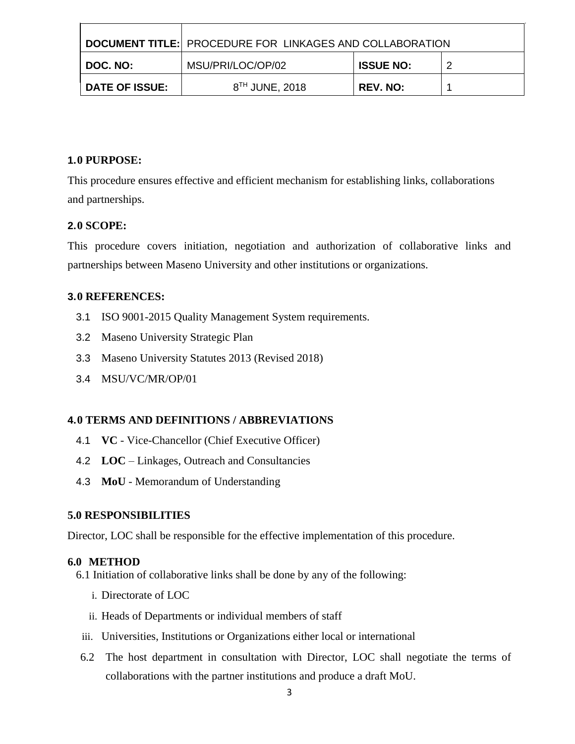|                | I DOCUMENT TITLE: PROCEDURE FOR LINKAGES AND COLLABORATION |                  |   |
|----------------|------------------------------------------------------------|------------------|---|
| I DOC. NO: I   | MSU/PRI/LOC/OP/02                                          | <b>ISSUE NO:</b> | ◠ |
| DATE OF ISSUE: | 8 <sup>TH</sup> JUNE, 2018                                 | <b>REV. NO:</b>  |   |

### **1.0 PURPOSE:**

This procedure ensures effective and efficient mechanism for establishing links, collaborations and partnerships.

## **2.0 SCOPE:**

This procedure covers initiation, negotiation and authorization of collaborative links and partnerships between Maseno University and other institutions or organizations.

### **3.0 REFERENCES:**

- 3.1 ISO 9001-2015 Quality Management System requirements.
- 3.2 Maseno University Strategic Plan
- 3.3 Maseno University Statutes 2013 (Revised 2018)
- 3.4 MSU/VC/MR/OP/01

## **4.0 TERMS AND DEFINITIONS / ABBREVIATIONS**

- 4.1 **VC** Vice-Chancellor (Chief Executive Officer)
- 4.2 **LOC** Linkages, Outreach and Consultancies
- 4.3 **MoU** Memorandum of Understanding

### **5.0 RESPONSIBILITIES**

Director, LOC shall be responsible for the effective implementation of this procedure.

### **6.0 METHOD**

- 6.1 Initiation of collaborative links shall be done by any of the following:
	- i. Directorate of LOC
	- ii. Heads of Departments or individual members of staff
- iii. Universities, Institutions or Organizations either local or international
- 6.2 The host department in consultation with Director, LOC shall negotiate the terms of collaborations with the partner institutions and produce a draft MoU.